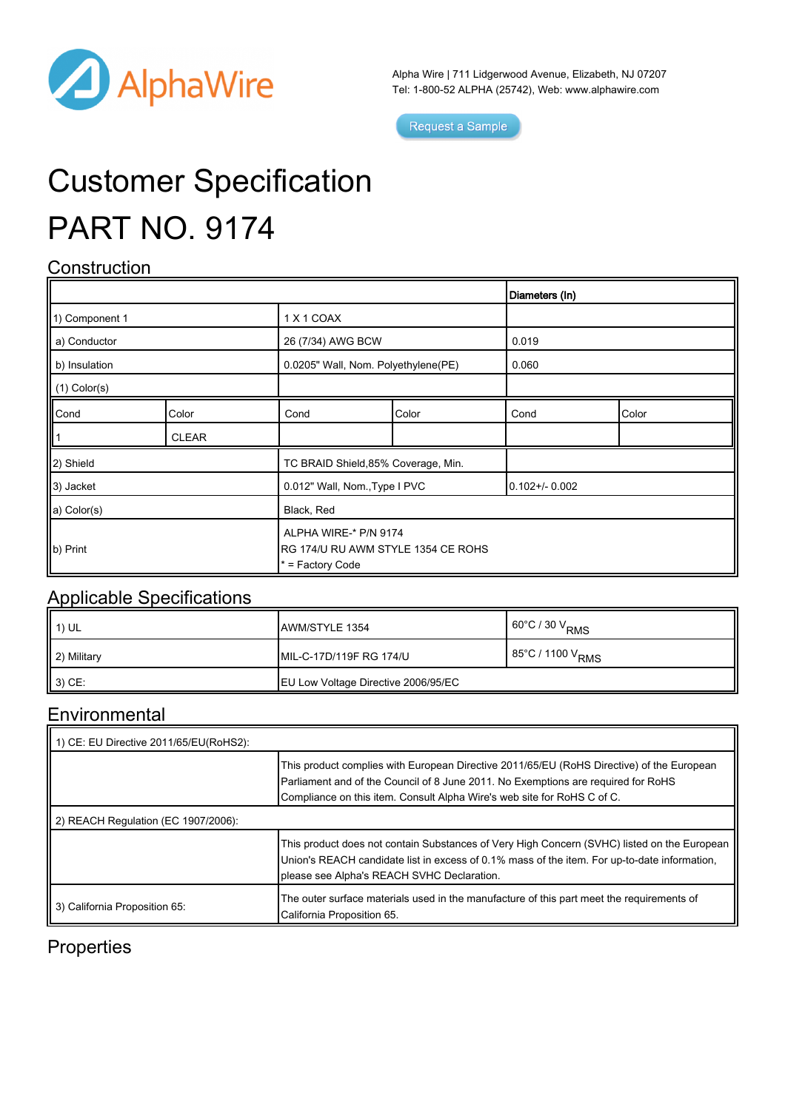

Alpha Wire | 711 Lidgerwood Avenue, Elizabeth, NJ 07207 Tel: 1-800-52 ALPHA (25742), Web: [www.alphawire.com](http://www.alphawire.com)

 $\overline{\mathbf{d}}$ 

Request a Sample

# Customer Specification PART NO. 9174

## **Construction**

|                                                                     |              |                                                                                 |       | Diameters (In)  |       |
|---------------------------------------------------------------------|--------------|---------------------------------------------------------------------------------|-------|-----------------|-------|
| 1) Component 1                                                      |              | 1 X 1 COAX                                                                      |       |                 |       |
| a) Conductor                                                        |              | 26 (7/34) AWG BCW                                                               |       | 0.019           |       |
| b) Insulation                                                       |              | 0.0205" Wall, Nom. Polyethylene(PE)                                             |       | 0.060           |       |
| $\parallel$ (1) Color(s)                                            |              |                                                                                 |       |                 |       |
| $\begin{array}{ c }\n\hline\n\text{Cond} \\ \hline\n1\n\end{array}$ | Color        | Cond                                                                            | Color | Cond            | Color |
|                                                                     | <b>CLEAR</b> |                                                                                 |       |                 |       |
| 2) Shield                                                           |              | TC BRAID Shield, 85% Coverage, Min.                                             |       |                 |       |
| 3) Jacket                                                           |              | 0.012" Wall, Nom., Type I PVC                                                   |       | $0.102 + 0.002$ |       |
| a) Color(s)                                                         |              | Black, Red                                                                      |       |                 |       |
| b) Print                                                            |              | ALPHA WIRE-* P/N 9174<br>RG 174/U RU AWM STYLE 1354 CE ROHS<br>* = Factory Code |       |                 |       |

### Applicable Specifications

| $(1)$ UL    | <b>IAWM/STYLE 1354</b>                     | 60°C / 30 $\rm V_{RMS}$      |
|-------------|--------------------------------------------|------------------------------|
| 2) Military | IMIL-C-17D/119F RG 174/U                   | 85°C / 1100 V <sub>RMS</sub> |
| $(3)$ CE:   | <b>EU Low Voltage Directive 2006/95/EC</b> |                              |

## **Environmental**

| 1) CE: EU Directive 2011/65/EU(RoHS2): |                                                                                                                                                                                                                                                           |  |  |  |
|----------------------------------------|-----------------------------------------------------------------------------------------------------------------------------------------------------------------------------------------------------------------------------------------------------------|--|--|--|
|                                        | This product complies with European Directive 2011/65/EU (RoHS Directive) of the European<br>Parliament and of the Council of 8 June 2011. No Exemptions are required for RoHS<br>Compliance on this item. Consult Alpha Wire's web site for RoHS C of C. |  |  |  |
| 2) REACH Regulation (EC 1907/2006):    |                                                                                                                                                                                                                                                           |  |  |  |
|                                        | This product does not contain Substances of Very High Concern (SVHC) listed on the European<br>Union's REACH candidate list in excess of 0.1% mass of the item. For up-to-date information,<br>please see Alpha's REACH SVHC Declaration.                 |  |  |  |
| 3) California Proposition 65:          | The outer surface materials used in the manufacture of this part meet the requirements of<br>California Proposition 65.                                                                                                                                   |  |  |  |

## **Properties**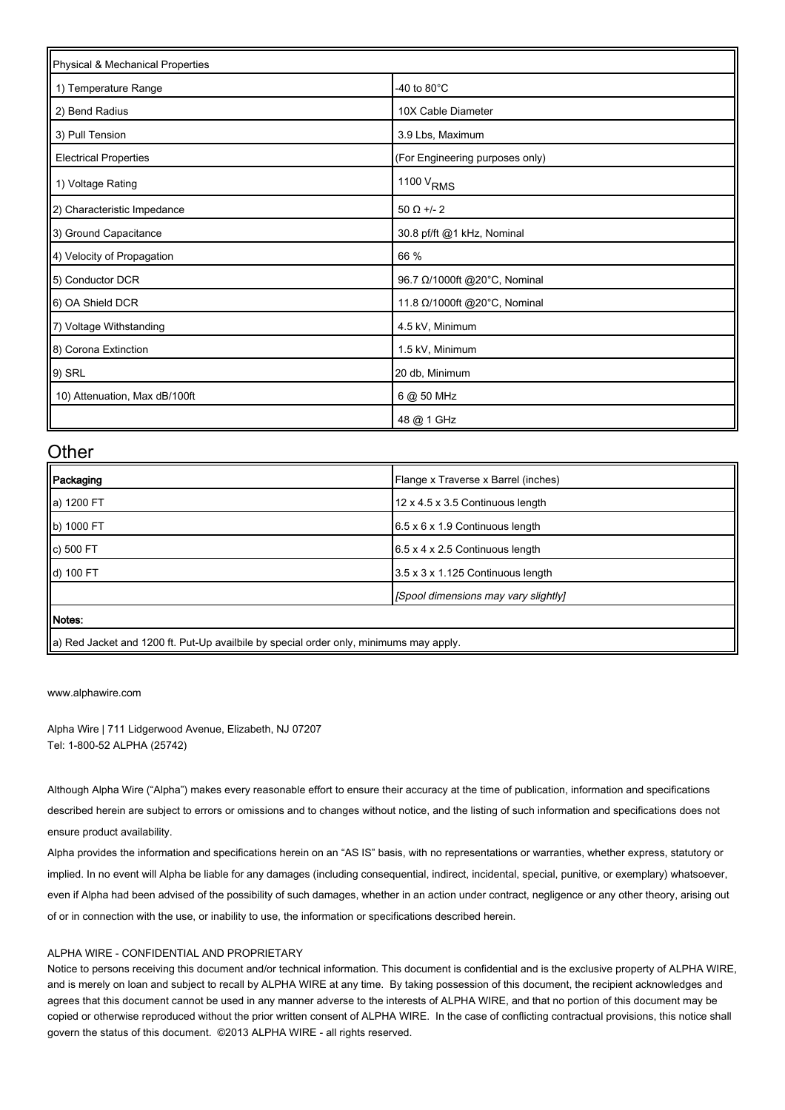| Physical & Mechanical Properties |                                 |  |  |
|----------------------------------|---------------------------------|--|--|
| 1) Temperature Range             | -40 to 80 $^{\circ}$ C          |  |  |
| 2) Bend Radius                   | 10X Cable Diameter              |  |  |
| 3) Pull Tension                  | 3.9 Lbs, Maximum                |  |  |
| <b>Electrical Properties</b>     | (For Engineering purposes only) |  |  |
| 1) Voltage Rating                | 1100 V <sub>RMS</sub>           |  |  |
| 2) Characteristic Impedance      | $50 \Omega +12$                 |  |  |
| 3) Ground Capacitance            | 30.8 pf/ft @1 kHz, Nominal      |  |  |
| 4) Velocity of Propagation       | 66 %                            |  |  |
| 5) Conductor DCR                 | 96.7 Ω/1000ft @20°C, Nominal    |  |  |
| 6) OA Shield DCR                 | 11.8 Ω/1000ft @20°C, Nominal    |  |  |
| 7) Voltage Withstanding          | 4.5 kV, Minimum                 |  |  |
| 8) Corona Extinction             | 1.5 kV, Minimum                 |  |  |
| 9) SRL                           | 20 db, Minimum                  |  |  |
| 10) Attenuation, Max dB/100ft    | 6 @ 50 MHz                      |  |  |
|                                  | 48 @ 1 GHz                      |  |  |

#### **Other**

| Packaging                                                                              | Flange x Traverse x Barrel (inches)         |  |
|----------------------------------------------------------------------------------------|---------------------------------------------|--|
| a) 1200 FT                                                                             | 12 x 4.5 x 3.5 Continuous length            |  |
| b) 1000 FT                                                                             | $6.5 \times 6 \times 1.9$ Continuous length |  |
| c) 500 FT                                                                              | $6.5 \times 4 \times 2.5$ Continuous length |  |
| d) 100 FT                                                                              | 3.5 x 3 x 1.125 Continuous length           |  |
|                                                                                        | [Spool dimensions may vary slightly]        |  |
| <b>Il Notes:</b>                                                                       |                                             |  |
| a) Red Jacket and 1200 ft. Put-Up availbile by special order only, minimums may apply. |                                             |  |

[www.alphawire.com](http://www.alphawire.com)

Alpha Wire | 711 Lidgerwood Avenue, Elizabeth, NJ 07207 Tel: 1-800-52 ALPHA (25742)

Although Alpha Wire ("Alpha") makes every reasonable effort to ensure their accuracy at the time of publication, information and specifications described herein are subject to errors or omissions and to changes without notice, and the listing of such information and specifications does not ensure product availability.

Alpha provides the information and specifications herein on an "AS IS" basis, with no representations or warranties, whether express, statutory or implied. In no event will Alpha be liable for any damages (including consequential, indirect, incidental, special, punitive, or exemplary) whatsoever, even if Alpha had been advised of the possibility of such damages, whether in an action under contract, negligence or any other theory, arising out of or in connection with the use, or inability to use, the information or specifications described herein.

#### ALPHA WIRE - CONFIDENTIAL AND PROPRIETARY

Notice to persons receiving this document and/or technical information. This document is confidential and is the exclusive property of ALPHA WIRE, and is merely on loan and subject to recall by ALPHA WIRE at any time. By taking possession of this document, the recipient acknowledges and agrees that this document cannot be used in any manner adverse to the interests of ALPHA WIRE, and that no portion of this document may be copied or otherwise reproduced without the prior written consent of ALPHA WIRE. In the case of conflicting contractual provisions, this notice shall govern the status of this document. ©2013 ALPHA WIRE - all rights reserved.